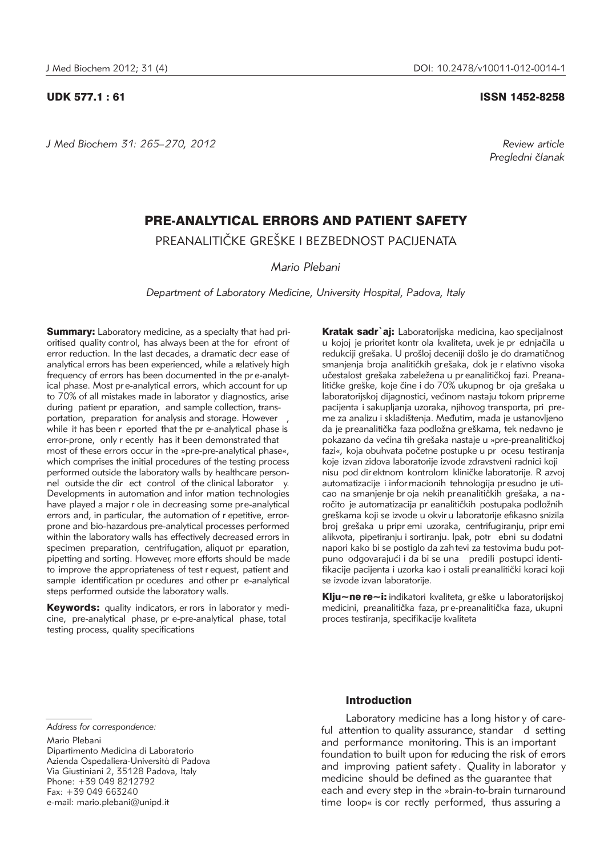*J Med Biochem 31: 265–270, 2012 Review article*

## UDK 577.1 : 61 ISSN 1452-8258

*Pregledni ~lanak*

# PRE-ANALYTICAL ERRORS AND PATIENT SAFETY

PREANALITIČKE GREŠKE I BEZBEDNOST PACIJENATA

*Mario Plebani*

*Department of Laboratory Medicine, University Hospital, Padova, Italy*

**Summary:** Laboratory medicine, as a specialty that had prioritised quality control, has always been at the for efront of error reduction. In the last decades, a dramatic decr ease of analytical errors has been experienced, while a relatively high frequency of errors has been documented in the pr e-analytical phase. Most pr e-analytical errors, which account for up to 70% of all mistakes made in laborator y diagnostics, arise during patient pr eparation, and sample collection, transportation, preparation for analysis and storage. However while it has been r eported that the pr e-analytical phase is error-prone, only r ecently has it been demonstrated that most of these errors occur in the »pre-pre-analytical phase«, which comprises the initial procedures of the testing process performed outside the laboratory walls by healthcare personnel outside the dir ect control of the clinical laborator y. Developments in automation and infor mation technologies have played a major r ole in decreasing some pre-analytical errors and, in particular, the automation of r epetitive, errorprone and bio-hazardous pre-analytical processes performed within the laboratory walls has effectively decreased errors in specimen preparation, centrifugation, aliquot pr eparation, pipetting and sorting. However, more efforts should be made to improve the appropriateness of test r equest, patient and sample identification pr ocedures and other pr e-analytical steps performed outside the laboratory walls.

Keywords: quality indicators, er rors in laborator y medicine, pre-analytical phase, pr e-pre-analytical phase, total testing process, quality specifications

Kratak sadr`ai: Laboratorijska medicina, kao specijalnost u kojoj je prioritet kontr ola kvaliteta, uvek je pr ednjačila u redukciji grešaka. U prošloj deceniji došlo je do dramatičnog smanjenja broja analitičkih grešaka, dok je r elativno visoka učestalost grešaka zabeležena u pr eanalitičkoj fazi. Preanalitičke greške, koje čine i do 70% ukupnog br oja grešaka u laboratorijskoj dijagnostici, većinom nastaju tokom pripreme pacijenta i sakupljanja uzoraka, njihovog transporta, pri preme za analizu i skladištenja. Međutim, mada je ustanovljeno da je preanalitička faza podložna greškama, tek nedavno je pokazano da većina tih grešaka nastaje u »pre-preanalitičkoj fazi«, koja obuhvata početne postupke u pr ocesu testiranja koje izvan zidova laboratorije izvode zdravstveni radnici koji nisu pod dir ektnom kontrolom kliničke laboratorije. R azvoj automatizacije i infor macionih tehnologija pr esudno je uticao na smanjenje br oja nekih preanalitičkih grešaka, a na ročito je automatizacija pr eanalitičkih postupaka podložnih greškama koji se izvode u okvir u laboratorije efikasno snizila broj grešaka u pripr emi uzoraka, centrifugiranju, pripr emi alikvota, pipetiranju i sortiranju. Ipak, potr ebni su dodatni napori kako bi se postiglo da zah tevi za testovima budu potpuno odgovarajući i da bi se una predili postupci identifikacije pacijenta i uzorka kao i ostali preanalitički koraci koji se izvode izvan laboratorije.

Klju~ne re~i: indikatori kvaliteta, gr eške u laboratorijskoj medicini, preanalitička faza, pr e-preanalitička faza, ukupni proces testiranja, specifikacije kvaliteta

Mario Plebani

Dipartimento Medicina di Laboratorio Azienda Ospedaliera-Università di Padova Via Giustiniani 2, 35128 Padova, Italy Phone: +39 049 8212792 Fax: +39 049 663240 e-mail: mario.plebani@unipd.it

# Introduction

Laboratory medicine has a long histor y of careful attention to quality assurance, standar d setting and performance monitoring. This is an important foundation to built upon for reducing the risk of errors and improving patient safety . Quality in laborator y medicine should be defined as the guarantee that each and every step in the »brain-to-brain turnaround time loop« is cor rectly performed, thus assuring a

*Address for correspondence:*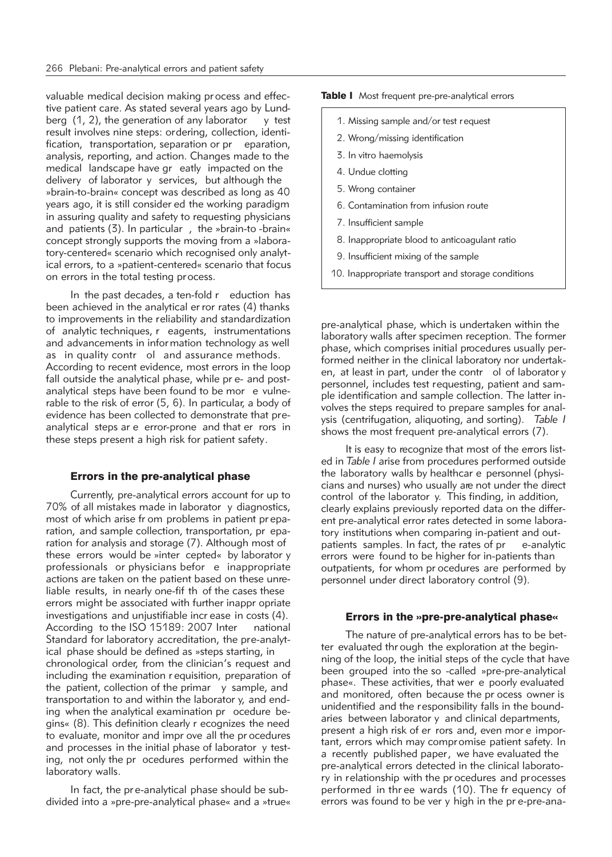valuable medical decision making pr ocess and effective patient care. As stated several years ago by Lundberg  $(1, 2)$ , the generation of any laborator y test result involves nine steps: ordering, collection, identification, transportation, separation or pr eparation, analysis, reporting, and action. Changes made to the medical landscape have gr eatly impacted on the delivery of laborator y services, but although the »brain-to-brain« concept was described as long as 40 years ago, it is still consider ed the working paradigm in assuring quality and safety to requesting physicians and patients (3). In particular , the »brain-to -brain« concept strongly supports the moving from a »laboratory-centered« scenario which recognised only analytical errors, to a »patient-centered« scenario that focus on errors in the total testing process.

In the past decades, a ten-fold r eduction has been achieved in the analytical er ror rates (4) thanks to improvements in the reliability and standardization of analytic techniques, r eagents, instrumentations and advancements in information technology as well as in quality contr ol and assurance methods. According to recent evidence, most errors in the loop fall outside the analytical phase, while pr e- and postanalytical steps have been found to be mor e vulnerable to the risk of error (5, 6). In particular, a body of evidence has been collected to demonstrate that preanalytical steps ar e error-prone and that er rors in these steps present a high risk for patient safety.

# Errors in the pre-analytical phase

Currently, pre-analytical errors account for up to 70% of all mistakes made in laborator y diagnostics, most of which arise fr om problems in patient pr eparation, and sample collection, transportation, pr eparation for analysis and storage (7). Although most of these errors would be »inter cepted« by laborator y professionals or physicians befor e inappropriate actions are taken on the patient based on these unreliable results, in nearly one-fif th of the cases these errors might be associated with further inappr opriate investigations and unjustifiable incr ease in costs (4). According to the ISO 15189: 2007 Inter national Standard for laboratory accreditation, the pre-analytical phase should be defined as »steps starting, in chronological order, from the clinician's request and including the examination r equisition, preparation of the patient, collection of the primar y sample, and transportation to and within the laborator y, and ending when the analytical examination pr ocedure begins« (8). This definition clearly r ecognizes the need to evaluate, monitor and impr ove all the pr ocedures and processes in the initial phase of laborator y testing, not only the pr ocedures performed within the laboratory walls.

In fact, the pr e-analytical phase should be subdivided into a »pre-pre-analytical phase« and a »true« Table I Most frequent pre-pre-analytical errors

1. Missing sample and/or test request 2. Wrong/missing identification 3. In vitro haemolysis 4. Undue clotting 5. Wrong container 6. Contamination from infusion route 7. Insufficient sample 8. Inappropriate blood to anticoagulant ratio 9. Insufficient mixing of the sample 10. Inappropriate transport and storage conditions

pre-analytical phase, which is undertaken within the laboratory walls after specimen reception. The former phase, which comprises initial procedures usually performed neither in the clinical laboratory nor undertaken, at least in part, under the contr ol of laborator y personnel, includes test requesting, patient and sample identification and sample collection. The latter involves the steps required to prepare samples for analysis (centrifugation, aliquoting, and sorting). *Table I* shows the most frequent pre-analytical errors (7).

It is easy to recognize that most of the errors listed in *Table I* arise from procedures performed outside the laboratory walls by healthcar e personnel (physicians and nurses) who usually are not under the direct control of the laborator y. This finding, in addition, clearly explains previously reported data on the different pre-analytical error rates detected in some laboratory institutions when comparing in-patient and outpatients samples. In fact, the rates of pr e-analytic errors were found to be higher for in-patients than outpatients, for whom pr ocedures are performed by personnel under direct laboratory control (9).

#### Errors in the »pre-pre-analytical phase«

The nature of pre-analytical errors has to be better evaluated thr ough the exploration at the beginning of the loop, the initial steps of the cycle that have been grouped into the so -called »pre-pre-analytical phase«. These activities, that wer e poorly evaluated and monitored, often because the pr ocess owner is unidentified and the responsibility falls in the boundaries between laborator y and clinical departments, present a high risk of er rors and, even mor e important, errors which may compromise patient safety. In a recently published paper, we have evaluated the pre-analytical errors detected in the clinical laboratory in relationship with the pr ocedures and processes performed in thr ee wards (10). The fr equency of errors was found to be ver y high in the pr e-pre-ana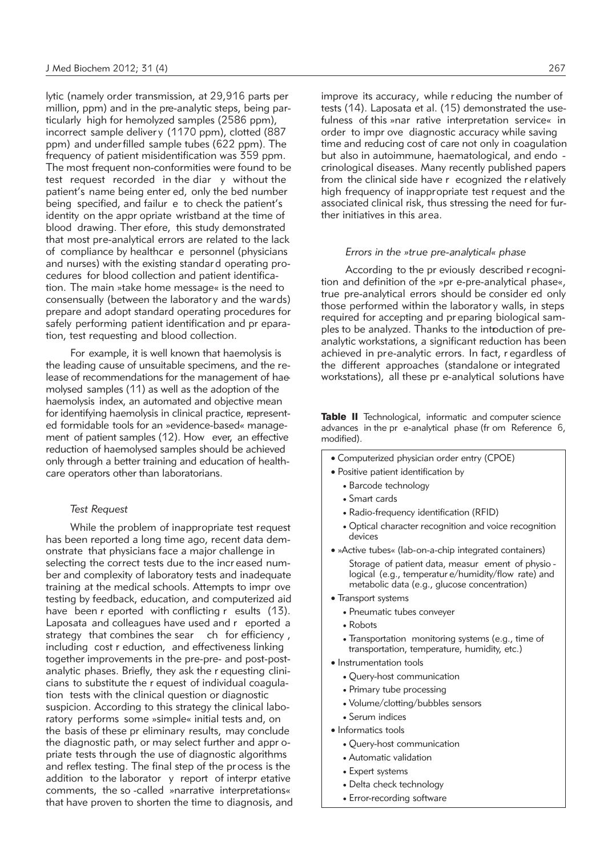lytic (namely order transmission, at 29,916 parts per million, ppm) and in the pre-analytic steps, being particularly high for hemolyzed samples (2586 ppm), incorrect sample deliver y (1170 ppm), clotted (887 ppm) and under filled sample tubes (622 ppm). The frequency of patient misidentification was 359 ppm. The most frequent non-conformities were found to be test request recorded in the diar y without the patient's name being enter ed, only the bed number being specified, and failur e to check the patient's identity on the appr opriate wristband at the time of blood drawing. Ther efore, this study demonstrated that most pre-analytical errors are related to the lack of compliance by healthcar e personnel (physicians and nurses) with the existing standar d operating procedures for blood collection and patient identification. The main »take home message« is the need to consensually (between the laborator y and the wards) prepare and adopt standard operating procedures for safely performing patient identification and pr eparation, test requesting and blood collection.

For example, it is well known that haemolysis is the leading cause of unsuitable specimens, and the release of recommendations for the management of haemolysed samples (11) as well as the adoption of the haemolysis index, an automated and objective mean for identifying haemolysis in clinical practice, represented formidable tools for an »evidence-based« management of patient samples (12). How ever, an effective reduction of haemolysed samples should be achieved only through a better training and education of healthcare operators other than laboratorians.

# *Test Request*

While the problem of inappropriate test request has been reported a long time ago, recent data demonstrate that physicians face a major challenge in selecting the correct tests due to the incr eased number and complexity of laboratory tests and inadequate training at the medical schools. Attempts to impr ove testing by feedback, education, and computerized aid have been r eported with conflicting r esults (13). Laposata and colleagues have used and r eported a strategy that combines the sear ch for efficiency, including cost r eduction, and effectiveness linking together improvements in the pre-pre- and post-postanalytic phases. Briefly, they ask the r equesting clinicians to substitute the r equest of individual coagulation tests with the clinical question or diagnostic suspicion. According to this strategy the clinical laboratory performs some »simple« initial tests and, on the basis of these pr eliminary results, may conclude the diagnostic path, or may select further and appr opriate tests through the use of diagnostic algorithms and reflex testing. The final step of the pr ocess is the addition to the laborator y report of interpr etative comments, the so -called »narrative interpretations« that have proven to shorten the time to diagnosis, and improve its accuracy, while r educing the number of tests (14). Laposata et al. (15) demonstrated the usefulness of this »nar rative interpretation service« in order to impr ove diagnostic accuracy while saving time and reducing cost of care not only in coagulation but also in autoimmune, haematological, and endo crinological diseases. Many recently published papers from the clinical side have r ecognized the r elatively high frequency of inappropriate test request and the associated clinical risk, thus stressing the need for further initiatives in this area.

#### *Errors in the »true pre-analytical« phase*

According to the pr eviously described r ecognition and definition of the »pr e-pre-analytical phase«, true pre-analytical errors should be consider ed only those performed within the laborator y walls, in steps required for accepting and pr eparing biological samples to be analyzed. Thanks to the introduction of preanalytic workstations, a significant reduction has been achieved in pre-analytic errors. In fact, r egardless of the different approaches (standalone or integrated workstations), all these pr e-analytical solutions have

Table II Technological, informatic and computer science advances in the pr e-analytical phase (fr om Reference 6, modified).

- Computerized physician order entry (CPOE)
- Positive patient identification by
	- Barcode technology
	- Smart cards
	- Radio-frequency identification (RFID)
	- Optical character recognition and voice recognition devices
- »Active tubes« (lab-on-a-chip integrated containers) Storage of patient data, measur ement of physio logical (e.g., temperatur e/humidity/flow rate) and metabolic data (e.g., glucose concentration)
- Transport systems
	- Pneumatic tubes conveyer
	- Robots
	- Transportation monitoring systems (e.g., time of transportation, temperature, humidity, etc.)
- Instrumentation tools
	- Query-host communication
	- Primary tube processing
	- Volume/clotting/bubbles sensors
	- Serum indices
- Informatics tools
	- Query-host communication
	- Automatic validation
	- Expert systems
	- Delta check technology
	- Error-recording software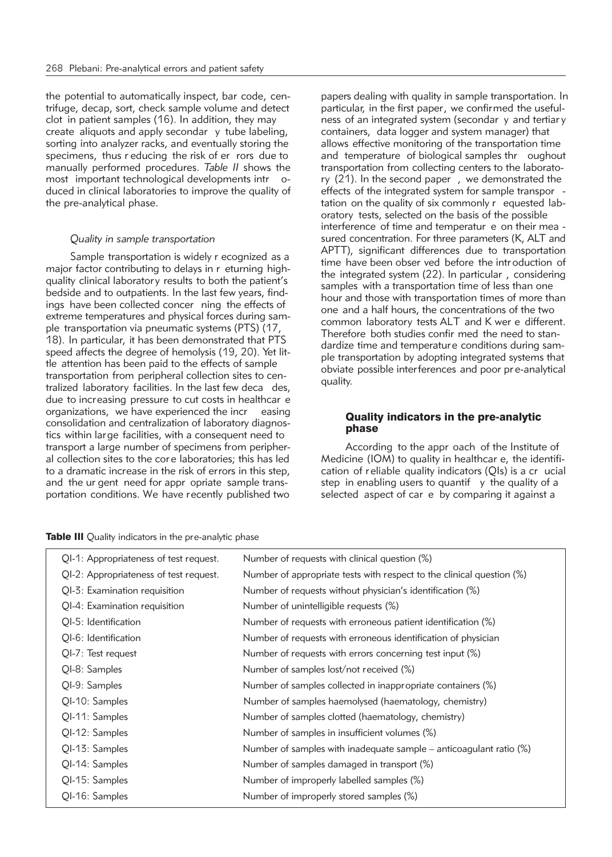the potential to automatically inspect, bar code, centrifuge, decap, sort, check sample volume and detect clot in patient samples (16). In addition, they may create aliquots and apply secondar y tube labeling, sorting into analyzer racks, and eventually storing the specimens, thus r educing the risk of er rors due to manually performed procedures. *Table II* shows the most important technological developments intr oduced in clinical laboratories to improve the quality of the pre-analytical phase.

#### *Quality in sample transportation*

Sample transportation is widely r ecognized as a major factor contributing to delays in r eturning highquality clinical laboratory results to both the patient's bedside and to outpatients. In the last few years, findings have been collected concer ning the effects of extreme temperatures and physical forces during sample transportation via pneumatic systems (PTS) (17, 18). In particular, it has been demonstrated that PTS speed affects the degree of hemolysis (19, 20). Yet little attention has been paid to the effects of sample transportation from peripheral collection sites to centralized laboratory facilities. In the last few deca des, due to increasing pressure to cut costs in healthcar e organizations, we have experienced the incr easing consolidation and centralization of laboratory diagnostics within large facilities, with a consequent need to transport a large number of specimens from peripheral collection sites to the cor e laboratories; this has led to a dramatic increase in the risk of errors in this step, and the ur gent need for appr opriate sample transportation conditions. We have recently published two papers dealing with quality in sample transportation. In particular, in the first paper, we confirmed the usefulness of an integrated system (secondar y and tertiar y containers, data logger and system manager) that allows effective monitoring of the transportation time and temperature of biological samples thr oughout transportation from collecting centers to the laboratory (21). In the second paper , we demonstrated the effects of the integrated system for sample transpor tation on the quality of six commonly  $r$  equested laboratory tests, selected on the basis of the possible interference of time and temperatur e on their mea sured concentration. For three parameters (K, ALT and APTT), significant differences due to transportation time have been obser ved before the intr oduction of the integrated system (22). In particular , considering samples with a transportation time of less than one hour and those with transportation times of more than one and a half hours, the concentrations of the two common laboratory tests ALT and K wer e different. Therefore both studies confir med the need to standardize time and temperature conditions during sample transportation by adopting integrated systems that obviate possible interferences and poor pr e-analytical quality.

### Quality indicators in the pre-analytic phase

According to the appr oach of the Institute of Medicine (IOM) to quality in healthcar e, the identification of reliable quality indicators (QIs) is a cr ucial step in enabling users to quantif  $y$  the quality of a selected aspect of car e by comparing it against a

Table III Quality indicators in the pre-analytic phase

| QI-1: Appropriateness of test request. | Number of requests with clinical question (%)                         |
|----------------------------------------|-----------------------------------------------------------------------|
| QI-2: Appropriateness of test request. | Number of appropriate tests with respect to the clinical question (%) |
| QI-3: Examination requisition          | Number of requests without physician's identification (%)             |
| QI-4: Examination requisition          | Number of unintelligible requests (%)                                 |
| QI-5: Identification                   | Number of requests with erroneous patient identification (%)          |
| QI-6: Identification                   | Number of requests with erroneous identification of physician         |
| QI-7: Test request                     | Number of requests with errors concerning test input (%)              |
| QI-8: Samples                          | Number of samples lost/not received (%)                               |
| QI-9: Samples                          | Number of samples collected in inappropriate containers (%)           |
| QI-10: Samples                         | Number of samples haemolysed (haematology, chemistry)                 |
| QI-11: Samples                         | Number of samples clotted (haematology, chemistry)                    |
| QI-12: Samples                         | Number of samples in insufficient volumes (%)                         |
| QI-13: Samples                         | Number of samples with inadequate sample – anticoagulant ratio $(\%)$ |
| QI-14: Samples                         | Number of samples damaged in transport (%)                            |
| QI-15: Samples                         | Number of improperly labelled samples (%)                             |
| QI-16: Samples                         | Number of improperly stored samples (%)                               |
|                                        |                                                                       |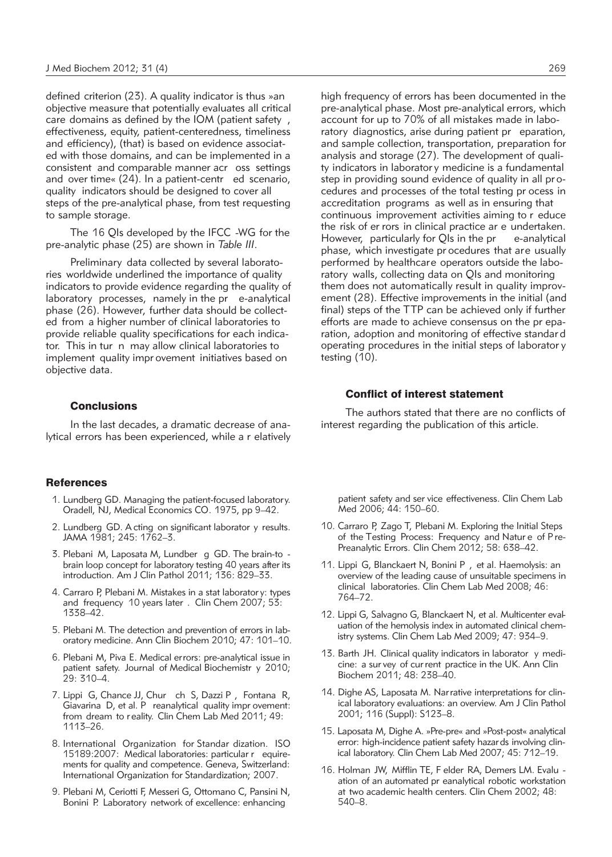defined criterion (23). A quality indicator is thus »an objective measure that potentially evaluates all critical care domains as defined by the IOM (patient safety , effectiveness, equity, patient-centeredness, timeliness and efficiency), (that) is based on evidence associated with those domains, and can be implemented in a consistent and comparable manner acr oss settings and over time« (24). In a patient-centr ed scenario, quality indicators should be designed to cover all steps of the pre-analytical phase, from test requesting to sample storage.

The 16 QIs developed by the IFCC -WG for the pre-analytic phase (25) are shown in *Table III*.

Preliminary data collected by several laboratories worldwide underlined the importance of quality indicators to provide evidence regarding the quality of laboratory processes, namely in the pr e-analytical phase (26). However, further data should be collected from a higher number of clinical laboratories to provide reliable quality specifications for each indicator. This in tur n may allow clinical laboratories to implement quality impr ovement initiatives based on objective data.

# **Conclusions**

In the last decades, a dramatic decrease of analytical errors has been experienced, while a r elatively

### **References**

- 1. Lundberg GD. Managing the patient-focused laboratory. Oradell, NJ, Medical Economics CO. 1975, pp 9–42.
- 2. Lundberg GD. A cting on significant laborator y results. JAMA 1981; 245: 1762–3.
- 3. Plebani M, Laposata M, Lundber g GD. The brain-to brain loop concept for laboratory testing 40 years after its introduction. Am J Clin Pathol 2011; 136: 829–33.
- 4. Carraro P, Plebani M. Mistakes in a stat laborator y: types and frequency 10 years later . Clin Chem 2007; 53: 1338–42.
- 5. Plebani M. The detection and prevention of errors in laboratory medicine. Ann Clin Biochem 2010; 47: 101-10.
- 6. Plebani M, Piva E. Medical errors: pre-analytical issue in patient safety. Journal of Medical Biochemistr y 2010; 29: 310–4.
- 7. Lippi G, Chance JJ, Chur ch S, Dazzi P , Fontana R, Giavarina D, et al. P reanalytical quality impr ovement: from dream to r eality. Clin Chem Lab Med 2011; 49: 1113–26.
- 8. International Organization for Standar dization. ISO 15189:2007: Medical laboratories: particular r equirements for quality and competence. Geneva, Switzerland: International Organization for Standardization; 2007.
- 9. Plebani M, Ceriotti F, Messeri G, Ottomano C, Pansini N, Bonini P. Laboratory network of excellence: enhancing

high frequency of errors has been documented in the pre-analytical phase. Most pre-analytical errors, which account for up to 70% of all mistakes made in laboratory diagnostics, arise during patient pr eparation, and sample collection, transportation, preparation for analysis and storage (27). The development of quality indicators in laborator y medicine is a fundamental step in providing sound evidence of quality in all pr ocedures and processes of the total testing pr ocess in accreditation programs as well as in ensuring that continuous improvement activities aiming to r educe the risk of er rors in clinical practice ar e undertaken. However, particularly for OIs in the pr e-analytical phase, which investigate pr ocedures that are usually performed by healthcare operators outside the laboratory walls, collecting data on QIs and monitoring them does not automatically result in quality improvement (28). Effective improvements in the initial (and final) steps of the TTP can be achieved only if further efforts are made to achieve consensus on the pr eparation, adoption and monitoring of effective standar d operating procedures in the initial steps of laborator y testing (10).

# Conflict of interest statement

The authors stated that there are no conflicts of interest regarding the publication of this article.

patient safety and ser vice effectiveness. Clin Chem Lab Med 2006; 44: 150–60.

- 10. Carraro P, Zago T, Plebani M. Exploring the Initial Steps of the Testing Process: Frequency and Natur e of P re-Preanalytic Errors. Clin Chem 2012; 58: 638–42.
- 11. Lippi G, Blanckaert N, Bonini P , et al. Haemolysis: an overview of the leading cause of unsuitable specimens in clinical laboratories. Clin Chem Lab Med 2008; 46: 764–72.
- 12. Lippi G, Salvagno G, Blanckaert N, et al. Multicenter evaluation of the hemolysis index in automated clinical chemistry systems. Clin Chem Lab Med 2009; 47: 934–9.
- 13. Barth JH. Clinical quality indicators in laborator y medicine: a sur vey of cur rent practice in the UK. Ann Clin Biochem 2011; 48: 238–40.
- 14. Dighe AS, Laposata M. Narrative interpretations for clinical laboratory evaluations: an overview. Am J Clin Pathol 2001; 116 (Suppl): S123–8.
- 15. Laposata M, Dighe A. »Pre-pre« and »Post-post« analytical error: high-incidence patient safety hazards involving clinical laboratory. Clin Chem Lab Med 2007; 45: 712–19.
- 16. Holman JW, Mifflin TE, F elder RA, Demers LM. Evalu ation of an automated pr eanalytical robotic workstation at two academic health centers. Clin Chem 2002; 48: 540–8.